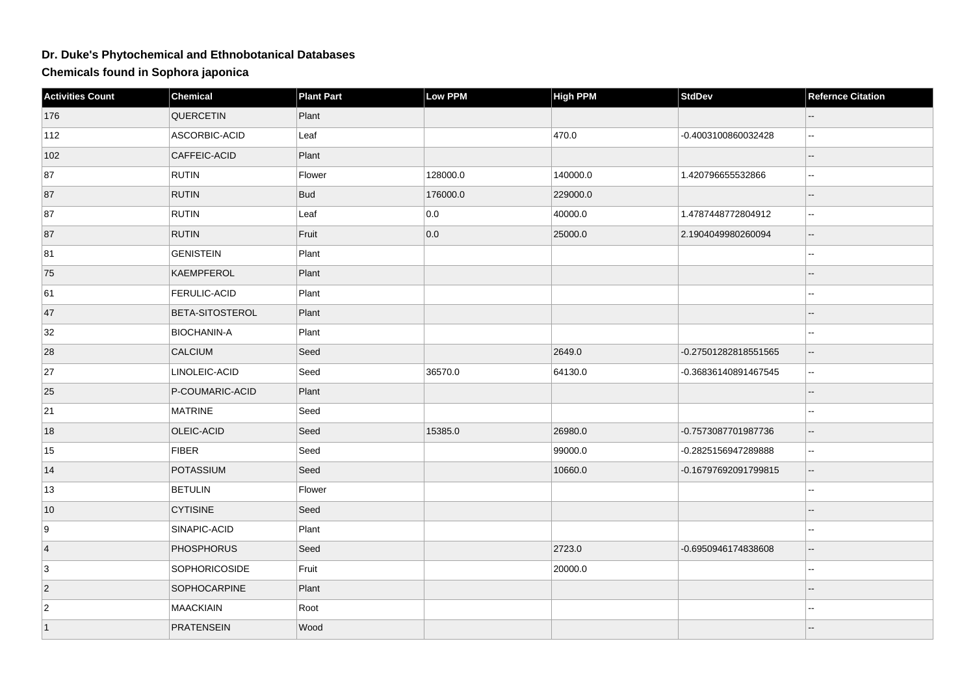## **Dr. Duke's Phytochemical and Ethnobotanical Databases**

**Chemicals found in Sophora japonica**

| <b>Activities Count</b> | Chemical             | <b>Plant Part</b> | Low PPM  | <b>High PPM</b> | <b>StdDev</b>        | <b>Refernce Citation</b> |
|-------------------------|----------------------|-------------------|----------|-----------------|----------------------|--------------------------|
| 176                     | <b>QUERCETIN</b>     | Plant             |          |                 |                      |                          |
| 112                     | ASCORBIC-ACID        | Leaf              |          | 470.0           | -0.4003100860032428  | Ξ.                       |
| 102                     | CAFFEIC-ACID         | Plant             |          |                 |                      |                          |
| 87                      | <b>RUTIN</b>         | Flower            | 128000.0 | 140000.0        | 1.420796655532866    | L.                       |
| 87                      | <b>RUTIN</b>         | <b>Bud</b>        | 176000.0 | 229000.0        |                      |                          |
| 87                      | <b>RUTIN</b>         | Leaf              | 0.0      | 40000.0         | 1.4787448772804912   |                          |
| 87                      | <b>RUTIN</b>         | Fruit             | 0.0      | 25000.0         | 2.1904049980260094   |                          |
| 81                      | <b>GENISTEIN</b>     | Plant             |          |                 |                      | --                       |
| 75                      | KAEMPFEROL           | Plant             |          |                 |                      |                          |
| 61                      | FERULIC-ACID         | Plant             |          |                 |                      |                          |
| 47                      | BETA-SITOSTEROL      | Plant             |          |                 |                      |                          |
| 32                      | <b>BIOCHANIN-A</b>   | Plant             |          |                 |                      |                          |
| 28                      | CALCIUM              | Seed              |          | 2649.0          | -0.27501282818551565 | --                       |
| 27                      | LINOLEIC-ACID        | Seed              | 36570.0  | 64130.0         | -0.36836140891467545 | $\overline{a}$           |
| 25                      | P-COUMARIC-ACID      | Plant             |          |                 |                      |                          |
| 21                      | MATRINE              | Seed              |          |                 |                      |                          |
| 18                      | OLEIC-ACID           | Seed              | 15385.0  | 26980.0         | -0.7573087701987736  | $\overline{a}$           |
| 15                      | <b>FIBER</b>         | Seed              |          | 99000.0         | -0.2825156947289888  | $\overline{a}$           |
| 14                      | POTASSIUM            | Seed              |          | 10660.0         | -0.16797692091799815 |                          |
| 13                      | <b>BETULIN</b>       | Flower            |          |                 |                      | --                       |
| 10                      | <b>CYTISINE</b>      | Seed              |          |                 |                      |                          |
| 9                       | SINAPIC-ACID         | Plant             |          |                 |                      |                          |
| $\overline{4}$          | <b>PHOSPHORUS</b>    | Seed              |          | 2723.0          | -0.6950946174838608  | Ξ.                       |
| 3                       | <b>SOPHORICOSIDE</b> | Fruit             |          | 20000.0         |                      |                          |
| $ 2\rangle$             | <b>SOPHOCARPINE</b>  | Plant             |          |                 |                      |                          |
| $\overline{2}$          | <b>MAACKIAIN</b>     | Root              |          |                 |                      | --                       |
| $\vert$ 1               | <b>PRATENSEIN</b>    | Wood              |          |                 |                      |                          |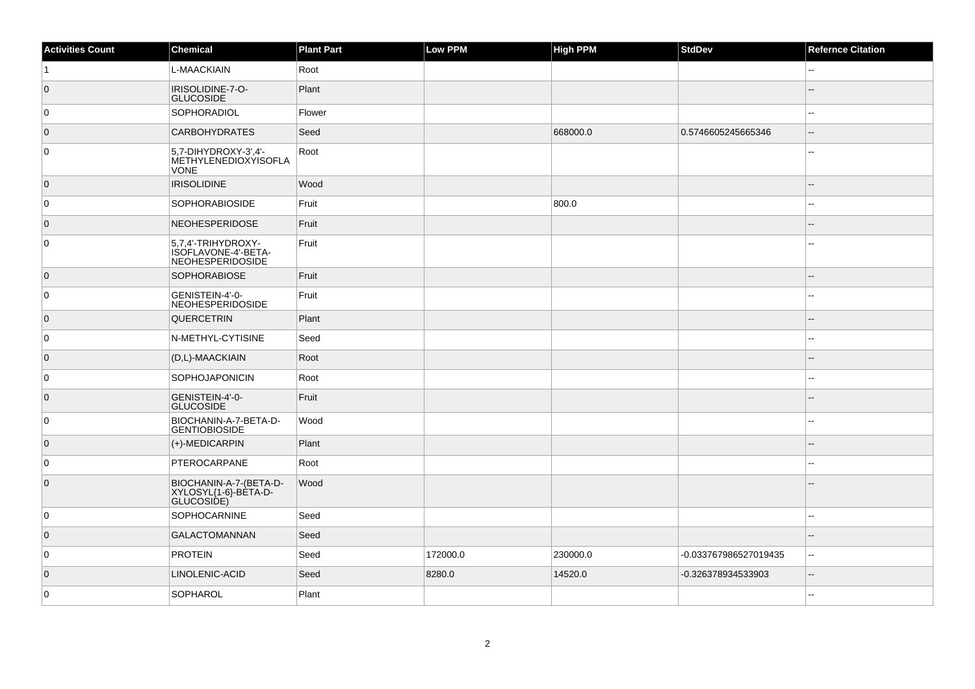| <b>Activities Count</b> | Chemical                                                             | <b>Plant Part</b> | Low PPM  | <b>High PPM</b> | StdDev                | <b>Refernce Citation</b> |
|-------------------------|----------------------------------------------------------------------|-------------------|----------|-----------------|-----------------------|--------------------------|
| $\vert$ 1               | L-MAACKIAIN                                                          | Root              |          |                 |                       | $\overline{a}$           |
| $\overline{0}$          | IRISOLIDINE-7-O-<br><b>GLUCOSIDE</b>                                 | Plant             |          |                 |                       |                          |
| $\overline{0}$          | <b>SOPHORADIOL</b>                                                   | Flower            |          |                 |                       | $\overline{a}$           |
| 0                       | <b>CARBOHYDRATES</b>                                                 | Seed              |          | 668000.0        | 0.5746605245665346    | $\overline{\phantom{a}}$ |
| $\overline{0}$          | 5,7-DIHYDROXY-3',4'-<br>METHYLENEDIOXYISOFLA<br><b>VONE</b>          | Root              |          |                 |                       |                          |
| $\overline{0}$          | <b>IRISOLIDINE</b>                                                   | Wood              |          |                 |                       | ٠.                       |
| 0                       | <b>SOPHORABIOSIDE</b>                                                | Fruit             |          | 800.0           |                       |                          |
| $\overline{0}$          | <b>NEOHESPERIDOSE</b>                                                | Fruit             |          |                 |                       |                          |
| 0                       | 5,7,4'-TRIHYDROXY-<br>ISOFLAVONE-4'-BETA-<br><b>NEOHESPERIDOSIDE</b> | Fruit             |          |                 |                       |                          |
| $\overline{0}$          | <b>SOPHORABIOSE</b>                                                  | Fruit             |          |                 |                       |                          |
| 0                       | GENISTEIN-4'-0-<br><b>NEOHESPERIDOSIDE</b>                           | Fruit             |          |                 |                       | $\overline{a}$           |
| 0                       | <b>QUERCETRIN</b>                                                    | Plant             |          |                 |                       |                          |
| 0                       | N-METHYL-CYTISINE                                                    | Seed              |          |                 |                       | $\overline{\phantom{a}}$ |
| $\overline{0}$          | (D,L)-MAACKIAIN                                                      | Root              |          |                 |                       | $\sim$                   |
| 0                       | SOPHOJAPONICIN                                                       | Root              |          |                 |                       |                          |
| $\overline{0}$          | GENISTEIN-4'-0-<br>GLUCOSIDE                                         | Fruit             |          |                 |                       |                          |
| 0                       | BIOCHANIN-A-7-BETA-D-<br><b>GENTIOBIOSIDE</b>                        | Wood              |          |                 |                       | $\sim$                   |
| $\overline{0}$          | (+)-MEDICARPIN                                                       | Plant             |          |                 |                       |                          |
| 0                       | PTEROCARPANE                                                         | Root              |          |                 |                       | $\overline{a}$           |
| $\overline{0}$          | BIOCHANIN-A-7-(BETA-D-<br>XYLOSYL{1-6}-BÈTA-D-<br>GLUCOSIDE)         | Wood              |          |                 |                       |                          |
| 0                       | SOPHOCARNINE                                                         | Seed              |          |                 |                       | $\sim$                   |
| $\overline{0}$          | <b>GALACTOMANNAN</b>                                                 | Seed              |          |                 |                       |                          |
| 0                       | <b>PROTEIN</b>                                                       | Seed              | 172000.0 | 230000.0        | -0.033767986527019435 | $-$                      |
| $\overline{0}$          | LINOLENIC-ACID                                                       | Seed              | 8280.0   | 14520.0         | -0.326378934533903    | $\overline{\phantom{a}}$ |
| 0                       | SOPHAROL                                                             | Plant             |          |                 |                       |                          |